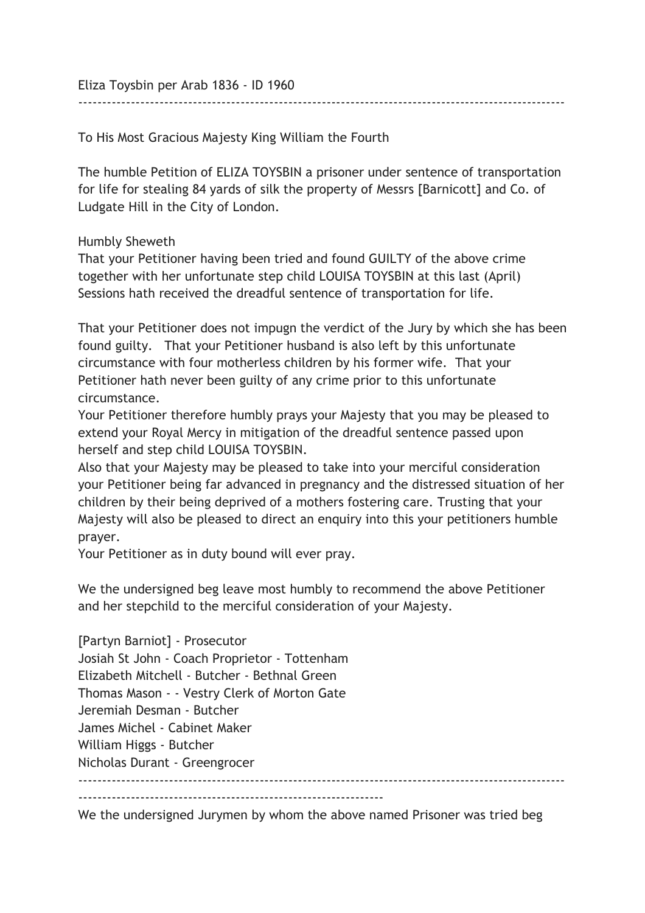Eliza Toysbin per Arab 1836 - ID 1960

To His Most Gracious Majesty King William the Fourth

The humble Petition of ELIZA TOYSBIN a prisoner under sentence of transportation for life for stealing 84 yards of silk the property of Messrs [Barnicott] and Co. of Ludgate Hill in the City of London.

------------------------------------------------------------------------------------------------------

Humbly Sheweth

That your Petitioner having been tried and found GUILTY of the above crime together with her unfortunate step child LOUISA TOYSBIN at this last (April) Sessions hath received the dreadful sentence of transportation for life.

That your Petitioner does not impugn the verdict of the Jury by which she has been found guilty. That your Petitioner husband is also left by this unfortunate circumstance with four motherless children by his former wife. That your Petitioner hath never been guilty of any crime prior to this unfortunate circumstance.

Your Petitioner therefore humbly prays your Majesty that you may be pleased to extend your Royal Mercy in mitigation of the dreadful sentence passed upon herself and step child LOUISA TOYSBIN.

Also that your Majesty may be pleased to take into your merciful consideration your Petitioner being far advanced in pregnancy and the distressed situation of her children by their being deprived of a mothers fostering care. Trusting that your Majesty will also be pleased to direct an enquiry into this your petitioners humble prayer.

Your Petitioner as in duty bound will ever pray.

We the undersigned beg leave most humbly to recommend the above Petitioner and her stepchild to the merciful consideration of your Majesty.

[Partyn Barniot] - Prosecutor Josiah St John - Coach Proprietor - Tottenham Elizabeth Mitchell - Butcher - Bethnal Green Thomas Mason - - Vestry Clerk of Morton Gate Jeremiah Desman - Butcher James Michel - Cabinet Maker William Higgs - Butcher Nicholas Durant - Greengrocer ------------------------------------------------------------------------------------------------------ ----------------------------------------------------------------

We the undersigned Jurymen by whom the above named Prisoner was tried beg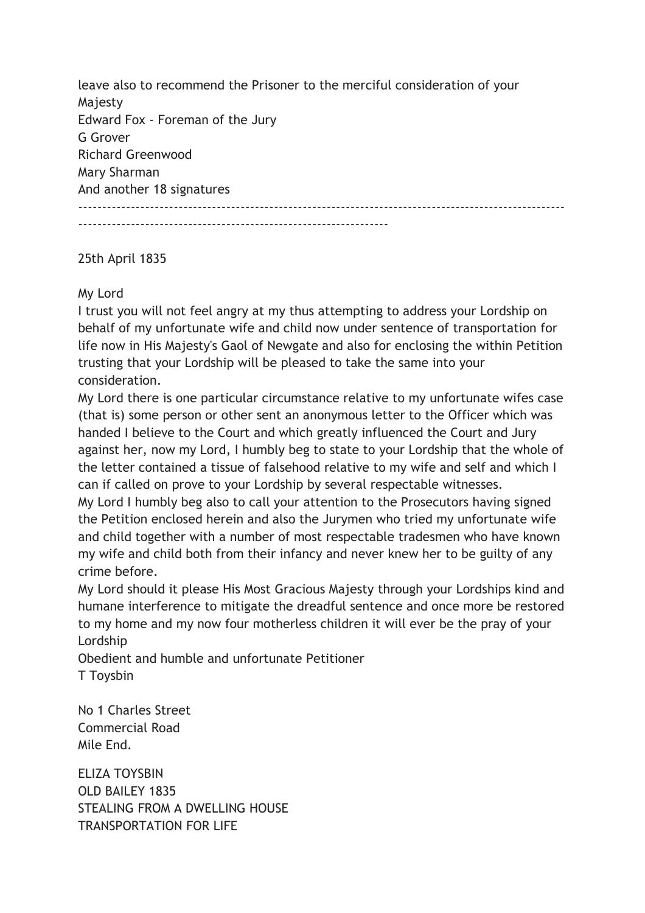leave also to recommend the Prisoner to the merciful consideration of your Majesty Edward Fox - Foreman of the Jury G Grover Richard Greenwood Mary Sharman And another 18 signatures ------------------------------------------------------------------------------------------------------

-----------------------------------------------------------------

## 25th April 1835

## My Lord

I trust you will not feel angry at my thus attempting to address your Lordship on behalf of my unfortunate wife and child now under sentence of transportation for life now in His Majesty's Gaol of Newgate and also for enclosing the within Petition trusting that your Lordship will be pleased to take the same into your consideration.

My Lord there is one particular circumstance relative to my unfortunate wifes case (that is) some person or other sent an anonymous letter to the Officer which was handed I believe to the Court and which greatly influenced the Court and Jury against her, now my Lord, I humbly beg to state to your Lordship that the whole of the letter contained a tissue of falsehood relative to my wife and self and which I can if called on prove to your Lordship by several respectable witnesses.

My Lord I humbly beg also to call your attention to the Prosecutors having signed the Petition enclosed herein and also the Jurymen who tried my unfortunate wife and child together with a number of most respectable tradesmen who have known my wife and child both from their infancy and never knew her to be guilty of any crime before.

My Lord should it please His Most Gracious Majesty through your Lordships kind and humane interference to mitigate the dreadful sentence and once more be restored to my home and my now four motherless children it will ever be the pray of your Lordship

Obedient and humble and unfortunate Petitioner T Toysbin

No 1 Charles Street Commercial Road Mile End.

ELIZA TOYSBIN OLD BAILEY 1835 STEALING FROM A DWELLING HOUSE TRANSPORTATION FOR LIFE